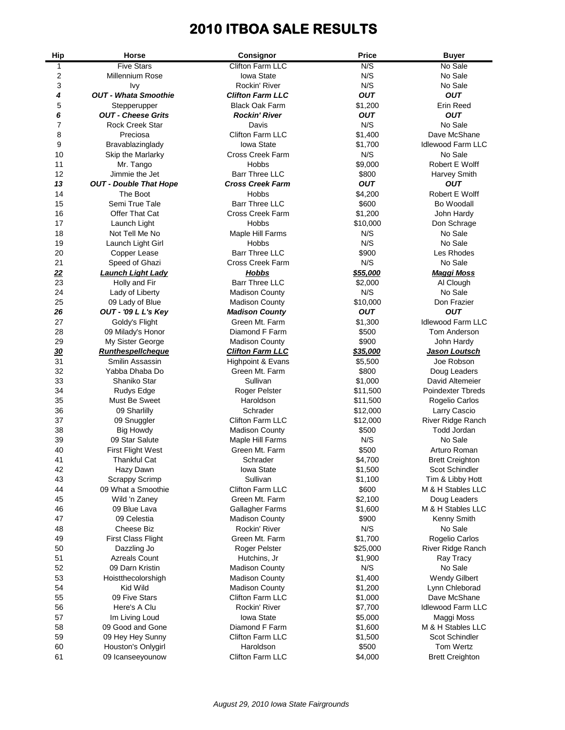# **2010 ITBOA SALE RESULTS**

| <b>Hip</b> | Horse                         | Consignor                    | <b>Price</b> | <b>Buyer</b>             |
|------------|-------------------------------|------------------------------|--------------|--------------------------|
| 1          | <b>Five Stars</b>             | Clifton Farm LLC             | N/S          | No Sale                  |
| 2          | <b>Millennium Rose</b>        | Iowa State                   | N/S          | No Sale                  |
| 3          | Ivy                           | Rockin' River                | N/S          | No Sale                  |
| 4          | <b>OUT - Whata Smoothie</b>   | <b>Clifton Farm LLC</b>      | <b>OUT</b>   | <b>OUT</b>               |
| 5          | Stepperupper                  | <b>Black Oak Farm</b>        | \$1,200      | <b>Erin Reed</b>         |
| 6          | <b>OUT - Cheese Grits</b>     | <b>Rockin' River</b>         | <b>OUT</b>   | <b>OUT</b>               |
| 7          | <b>Rock Creek Star</b>        | Davis                        | N/S          | No Sale                  |
| 8          | Preciosa                      | <b>Clifton Farm LLC</b>      | \$1,400      | Dave McShane             |
| 9          | Bravablazinglady              | Iowa State                   | \$1,700      | <b>Idlewood Farm LLC</b> |
| 10         | Skip the Marlarky             | <b>Cross Creek Farm</b>      | N/S          | No Sale                  |
| 11         | Mr. Tango                     | <b>Hobbs</b>                 | \$9,000      | Robert E Wolff           |
| 12         | Jimmie the Jet                | <b>Barr Three LLC</b>        | \$800        | Harvey Smith             |
| 13         | <b>OUT - Double That Hope</b> | <b>Cross Creek Farm</b>      | <b>OUT</b>   | OUT                      |
| 14         | The Boot                      | <b>Hobbs</b>                 | \$4,200      | Robert E Wolff           |
| 15         | Semi True Tale                | <b>Barr Three LLC</b>        | \$600        | Bo Woodall               |
| 16         | Offer That Cat                | <b>Cross Creek Farm</b>      | \$1,200      | John Hardy               |
| 17         | Launch Light                  | Hobbs                        | \$10,000     | Don Schrage              |
| 18         | Not Tell Me No                | Maple Hill Farms             | N/S          | No Sale                  |
| 19         | Launch Light Girl             | Hobbs                        | N/S          | No Sale                  |
| 20         | Copper Lease                  | <b>Barr Three LLC</b>        | \$900        | Les Rhodes               |
| 21         | Speed of Ghazi                | <b>Cross Creek Farm</b>      | N/S          | No Sale                  |
| 22         | <b>Launch Light Lady</b>      | <b>Hobbs</b>                 | \$55,000     | <b>Maggi Moss</b>        |
| 23         | Holly and Fir                 | <b>Barr Three LLC</b>        | \$2,000      | Al Clough                |
| 24         | Lady of Liberty               | <b>Madison County</b>        | N/S          | No Sale                  |
| 25         | 09 Lady of Blue               | <b>Madison County</b>        | \$10,000     | Don Frazier              |
| 26         | OUT - '09 L L's Key           | <b>Madison County</b>        | <b>OUT</b>   | <b>OUT</b>               |
| 27         | Goldy's Flight                | Green Mt. Farm               | \$1,300      | <b>Idlewood Farm LLC</b> |
| 28         | 09 Milady's Honor             | Diamond F Farm               | \$500        | Tom Anderson             |
| 29         | My Sister George              | <b>Madison County</b>        | \$900        | John Hardy               |
| <u>30</u>  | <b>Runthespellcheque</b>      | <b>Clifton Farm LLC</b>      | \$35,000     | Jason Loutsch            |
| 31         | Smilin Assassin               | <b>Highpoint &amp; Evans</b> | \$5,500      | Joe Robson               |
| 32         | Yabba Dhaba Do                | Green Mt. Farm               | \$800        | Doug Leaders             |
| 33         | Shaniko Star                  | Sullivan                     | \$1,000      | David Altemeier          |
| 34         | Rudys Edge                    | Roger Pelster                | \$11,500     | Poindexter Tbreds        |
| 35         | Must Be Sweet                 | Haroldson                    | \$11,500     | Rogelio Carlos           |
| 36         | 09 Sharlilly                  | Schrader                     | \$12,000     | Larry Cascio             |
| 37         | 09 Snuggler                   | Clifton Farm LLC             | \$12,000     | River Ridge Ranch        |
| 38         | <b>Big Howdy</b>              | <b>Madison County</b>        | \$500        | Todd Jordan              |
| 39         | 09 Star Salute                | Maple Hill Farms             | N/S          | No Sale                  |
| 40         | <b>First Flight West</b>      | Green Mt. Farm               | \$500        | Arturo Roman             |
| 41         | <b>Thankful Cat</b>           | Schrader                     | \$4,700      | <b>Brett Creighton</b>   |
| 42         | Hazy Dawn                     | Iowa State                   | \$1,500      | Scot Schindler           |
| 43         | Scrappy Scrimp                | Sullivan                     | \$1,100      | Tim & Libby Hott         |
| 44         | 09 What a Smoothie            | Clifton Farm LLC             | \$600        | M & H Stables LLC        |
| 45         | Wild 'n Zaney                 | Green Mt. Farm               | \$2,100      | Doug Leaders             |
| 46         | 09 Blue Lava                  | Gallagher Farms              | \$1,600      | M & H Stables LLC        |
| 47         | 09 Celestia                   | <b>Madison County</b>        | \$900        | Kenny Smith              |
| 48         | <b>Cheese Biz</b>             | Rockin' River                | N/S          | No Sale                  |
| 49         | <b>First Class Flight</b>     | Green Mt. Farm               | \$1,700      | Rogelio Carlos           |
| 50         | Dazzling Jo                   | Roger Pelster                | \$25,000     | River Ridge Ranch        |
| 51         | <b>Azreals Count</b>          | Hutchins, Jr                 | \$1,900      | Ray Tracy                |
| 52         | 09 Darn Kristin               | <b>Madison County</b>        | N/S          | No Sale                  |
| 53         | Hoistthecolorshigh            | <b>Madison County</b>        | \$1,400      | <b>Wendy Gilbert</b>     |
| 54         | Kid Wild                      | <b>Madison County</b>        | \$1,200      | Lynn Chleborad           |
| 55         | 09 Five Stars                 | Clifton Farm LLC             | \$1,000      | Dave McShane             |
| 56         | Here's A Clu                  | Rockin' River                | \$7,700      | <b>Idlewood Farm LLC</b> |
| 57         | Im Living Loud                | <b>Iowa State</b>            | \$5,000      | Maggi Moss               |
| 58         | 09 Good and Gone              | Diamond F Farm               | \$1,600      | M & H Stables LLC        |
| 59         | 09 Hey Hey Sunny              | Clifton Farm LLC             | \$1,500      | Scot Schindler           |
| 60         | Houston's Onlygirl            | Haroldson                    | \$500        | Tom Wertz                |
| 61         | 09 Icanseeyounow              | Clifton Farm LLC             | \$4,000      | <b>Brett Creighton</b>   |